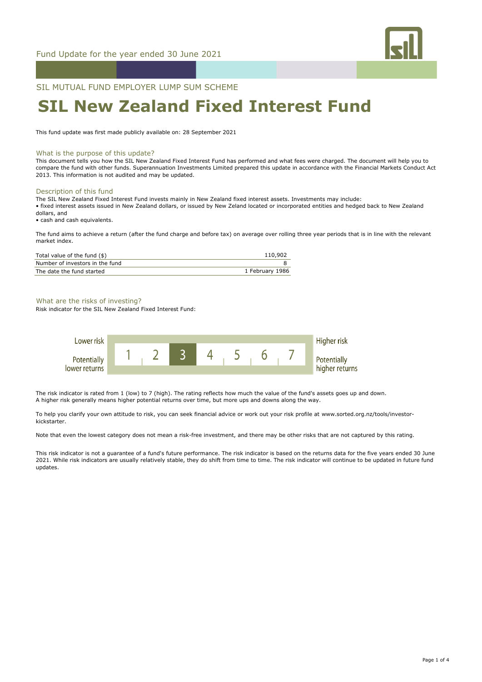

SIL MUTUAL FUND EMPLOYER LUMP SUM SCHEME

# **SIL New Zealand Fixed Interest Fund**

This fund update was first made publicly available on: 28 September 2021

#### What is the purpose of this update?

This document tells you how the SIL New Zealand Fixed Interest Fund has performed and what fees were charged. The document will help you to compare the fund with other funds. Superannuation Investments Limited prepared this update in accordance with the Financial Markets Conduct Act 2013. This information is not audited and may be updated.

#### Description of this fund

The SIL New Zealand Fixed Interest Fund invests mainly in New Zealand fixed interest assets. Investments may include: • fixed interest assets issued in New Zealand dollars, or issued by New Zeland located or incorporated entities and hedged back to New Zealand dollars, and

• cash and cash equivalents.

The fund aims to achieve a return (after the fund charge and before tax) on average over rolling three year periods that is in line with the relevant market index.

| Total value of the fund (\$)    | 110,902         |
|---------------------------------|-----------------|
| Number of investors in the fund |                 |
| The date the fund started       | 1 February 1986 |

### What are the risks of investing?

Risk indicator for the SIL New Zealand Fixed Interest Fund:



The risk indicator is rated from 1 (low) to 7 (high). The rating reflects how much the value of the fund's assets goes up and down. A higher risk generally means higher potential returns over time, but more ups and downs along the way.

To help you clarify your own attitude to risk, you can seek financial advice or work out your risk profile at www.sorted.org.nz/tools/investorkickstarter.

Note that even the lowest category does not mean a risk-free investment, and there may be other risks that are not captured by this rating.

This risk indicator is not a guarantee of a fund's future performance. The risk indicator is based on the returns data for the five years ended 30 June 2021. While risk indicators are usually relatively stable, they do shift from time to time. The risk indicator will continue to be updated in future fund updates.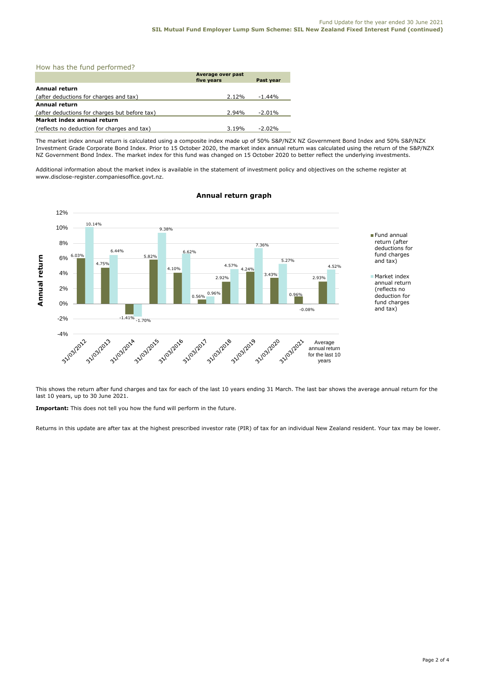How has the fund performed?

|                                               | Average over past<br>five years | Past year |  |  |
|-----------------------------------------------|---------------------------------|-----------|--|--|
| Annual return                                 |                                 |           |  |  |
| (after deductions for charges and tax)        | 2.12%                           | $-1.44%$  |  |  |
| <b>Annual return</b>                          |                                 |           |  |  |
| (after deductions for charges but before tax) | 2.94%                           | $-2.01\%$ |  |  |
| Market index annual return                    |                                 |           |  |  |
| (reflects no deduction for charges and tax)   | 3.19%                           | $-2.02\%$ |  |  |

The market index annual return is calculated using a composite index made up of 50% S&P/NZX NZ Government Bond Index and 50% S&P/NZX Investment Grade Corporate Bond Index. Prior to 15 October 2020, the market index annual return was calculated using the return of the S&P/NZX NZ Government Bond Index. The market index for this fund was changed on 15 October 2020 to better reflect the underlying investments.

Additional information about the market index is available in the statement of investment policy and objectives on the scheme register at www.disclose-register.companiesoffice.govt.nz.



# **Annual return graph**

This shows the return after fund charges and tax for each of the last 10 years ending 31 March. The last bar shows the average annual return for the last 10 years, up to 30 June 2021.

**Important:** This does not tell you how the fund will perform in the future.

Returns in this update are after tax at the highest prescribed investor rate (PIR) of tax for an individual New Zealand resident. Your tax may be lower.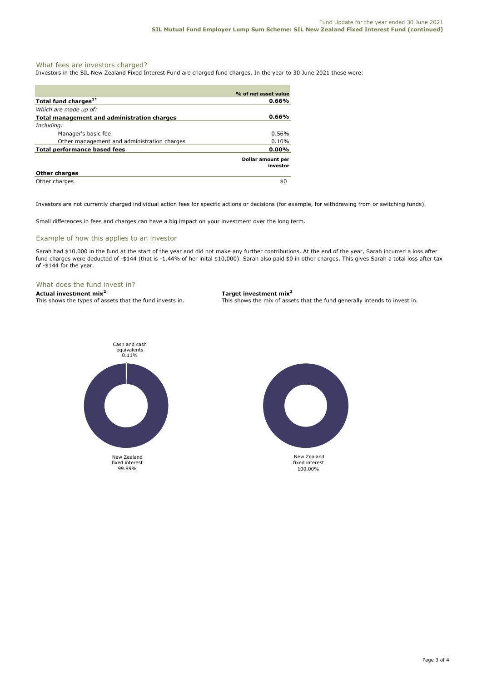## What fees are investors charged?

Investors in the SIL New Zealand Fixed Interest Fund are charged fund charges. In the year to 30 June 2021 these were:

|                                             | % of net asset value          |
|---------------------------------------------|-------------------------------|
| Total fund charges <sup>1*</sup>            | 0.66%                         |
| Which are made up of:                       |                               |
| Total management and administration charges | 0.66%                         |
| Including:                                  |                               |
| Manager's basic fee                         | 0.56%                         |
| Other management and administration charges | 0.10%                         |
| Total performance based fees                | $0.00\%$                      |
|                                             | Dollar amount per<br>investor |
| <b>Other charges</b>                        |                               |
| Other charges                               | \$0                           |

Investors are not currently charged individual action fees for specific actions or decisions (for example, for withdrawing from or switching funds).

Small differences in fees and charges can have a big impact on your investment over the long term.

#### Example of how this applies to an investor

Sarah had \$10,000 in the fund at the start of the year and did not make any further contributions. At the end of the year, Sarah incurred a loss after fund charges were deducted of -\$144 (that is -1.44% of her inital \$10,000). Sarah also paid \$0 in other charges. This gives Sarah a total loss after tax of -\$144 for the year.

# What does the fund invest in?

**Actual investment mix<sup>2</sup> Target investment mix<sup>2</sup> This shows the types of assets that the fund invests in. This shows the mix of assets** 

This shows the mix of assets that the fund generally intends to invest in.